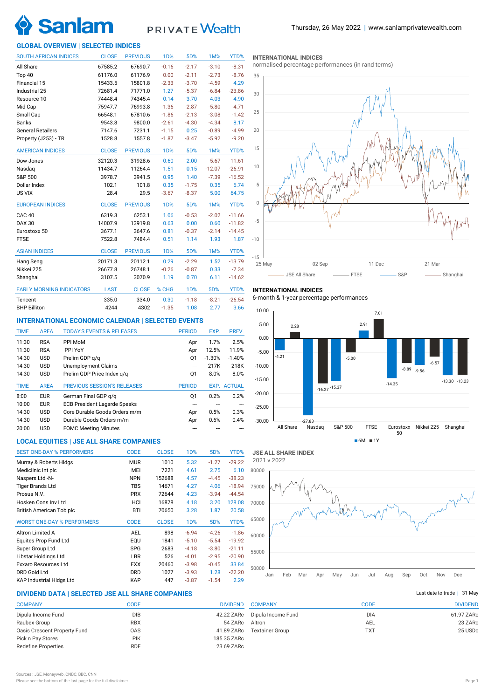

# **PRIVATE** Wealth

## **GLOBAL OVERVIEW | SELECTED INDICES**

| <b>SOUTH AFRICAN INDICES</b>    | <b>CLOSE</b> | <b>PREVIOUS</b> | 1D%              | 5D%              | 1M%      | YTD%     |
|---------------------------------|--------------|-----------------|------------------|------------------|----------|----------|
| All Share                       | 67585.2      | 67690.7         | $-0.16$          | $-2.17$          | $-3.10$  | $-8.31$  |
| Top 40                          | 61176.0      | 61176.9         | 0.00             | $-2.11$          | $-2.73$  | $-8.76$  |
| Financial 15                    | 15433.5      | 15801.8         | $-2.33$          | $-3.70$          | $-4.59$  | 4.29     |
| Industrial 25                   | 72681.4      | 71771.0         | 1.27             | $-5.37$          | $-6.84$  | $-23.86$ |
| Resource 10                     | 74448.4      | 74345.4         | 0.14             | 3.70             | 4.03     | 4.90     |
| Mid Cap                         | 75947.7      | 76993.8         | $-1.36$          | $-2.87$          | $-5.80$  | $-4.71$  |
| Small Cap                       | 66548.1      | 67810.6         | $-1.86$          | $-2.13$          | $-3.08$  | $-1.42$  |
| <b>Banks</b>                    | 9543.8       | 9800.0          | $-2.61$          | $-4.30$          | $-4.34$  | 8.17     |
| <b>General Retailers</b>        | 7147.6       | 7231.1          | $-1.15$          | 0.25             | $-0.89$  | $-4.99$  |
| Property (J253) - TR            | 1528.8       | 1557.8          | $-1.87$          | $-3.47$          | $-5.92$  | $-9.20$  |
| <b>AMERICAN INDICES</b>         | <b>CLOSE</b> | <b>PREVIOUS</b> | <b>1D%</b>       | 5D%              | 1M%      | YTD%     |
| Dow Jones                       | 32120.3      | 31928.6         | 0.60             | 2.00             | $-5.67$  | $-11.61$ |
| Nasdag                          | 11434.7      | 11264.4         | 1.51             | 0.15             | $-12.07$ | $-26.91$ |
| S&P 500                         | 3978.7       | 3941.5          | 0.95             | 1.40             | $-7.39$  | $-16.52$ |
| Dollar Index                    | 102.1        | 101.8           | 0.35             | $-1.75$          | 0.35     | 6.74     |
| US VIX                          | 28.4         | 29.5            | $-3.67$          | $-8.37$          | 5.00     | 64.75    |
| <b>EUROPEAN INDICES</b>         | <b>CLOSE</b> | <b>PREVIOUS</b> | 1 <sub>D</sub> % | 5D%              | 1M%      | YTD%     |
| CAC <sub>40</sub>               | 6319.3       | 6253.1          | 1.06             | $-0.53$          | $-2.02$  | $-11.66$ |
| <b>DAX 30</b>                   | 14007.9      | 13919.8         | 0.63             | 0.00             | 0.60     | $-11.82$ |
| Eurostoxx 50                    | 3677.1       | 3647.6          | 0.81             | $-0.37$          | $-2.14$  | $-14.45$ |
| <b>FTSE</b>                     | 7522.8       | 7484.4          | 0.51             | 1.14             | 1.93     | 1.87     |
| <b>ASIAN INDICES</b>            | <b>CLOSE</b> | <b>PREVIOUS</b> | 1 <sub>D</sub> % | 5D%              | 1M%      | YTD%     |
| Hang Seng                       | 20171.3      | 20112.1         | 0.29             | $-2.29$          | 1.52     | $-13.79$ |
| Nikkei 225                      | 26677.8      | 26748.1         | $-0.26$          | $-0.87$          | 0.33     | $-7.34$  |
| Shanghai                        | 3107.5       | 3070.9          | 1.19             | 0.70             | 6.11     | $-14.62$ |
| <b>EARLY MORNING INDICATORS</b> | <b>LAST</b>  | <b>CLOSE</b>    | % CHG            | 1 <sub>D</sub> % | 5D%      | YTD%     |
| Tencent                         | 335.0        | 334.0           | 0.30             | $-1.18$          | $-8.21$  | $-26.54$ |
| <b>BHP Billiton</b>             | 4244         | 4302            | $-1.35$          | 1.08             | 2.77     | 3.66     |

## **INTERNATIONAL ECONOMIC CALENDAR | SELECTED EVENTS**

| <b>AREA</b> | <b>TODAY'S EVENTS &amp; RELEASES</b> | <b>PERIOD</b>            | EXP.     | PREV.              |
|-------------|--------------------------------------|--------------------------|----------|--------------------|
| <b>RSA</b>  | PPI MoM                              | Apr                      | 1.7%     | 2.5%               |
| <b>RSA</b>  | PPI YoY                              | Apr                      | 12.5%    | 11.9%              |
| <b>USD</b>  | Prelim GDP g/g                       | 01                       | $-1.30%$ | $-1.40%$           |
| <b>USD</b>  | Unemployment Claims                  | $\overline{\phantom{a}}$ | 217K     | 218K               |
| <b>USD</b>  | Prelim GDP Price Index q/q           | Q1                       | 8.0%     | 8.0%               |
| <b>AREA</b> | <b>PREVIOUS SESSION'S RELEASES</b>   | <b>PERIOD</b>            |          | <b>EXP. ACTUAL</b> |
| <b>EUR</b>  | German Final GDP q/q                 | Q1                       | 0.2%     | 0.2%               |
| <b>EUR</b>  | <b>ECB President Lagarde Speaks</b>  |                          |          |                    |
| <b>USD</b>  | Core Durable Goods Orders m/m        | Apr                      | 0.5%     | 0.3%               |
| <b>USD</b>  | Durable Goods Orders m/m             | Apr                      | 0.6%     | 0.4%               |
|             |                                      |                          |          |                    |
|             |                                      |                          |          |                    |

## **LOCAL EQUITIES | JSE ALL SHARE COMPANIES**

| <b>BEST ONE-DAY % PERFORMERS</b>  | <b>CODE</b> | <b>CLOSE</b> | 1 <sub>D</sub> % | 5D%     | YTD%     |
|-----------------------------------|-------------|--------------|------------------|---------|----------|
| Murray & Roberts Hidgs            | <b>MUR</b>  | 1010         | 5.32             | $-1.27$ | $-29.22$ |
| Mediclinic Int plc                | MEI         | 7221         | 4.61             | 2.75    | 6.10     |
| Naspers Ltd -N-                   | <b>NPN</b>  | 152688       | 4.57             | $-4.45$ | $-38.23$ |
| <b>Tiger Brands Ltd</b>           | TBS         | 14671        | 4.27             | 4.06    | $-18.94$ |
| Prosus N.V.                       | <b>PRX</b>  | 72644        | 4.23             | $-3.94$ | $-44.54$ |
| Hosken Cons Inv Ltd               | HCI         | 16878        | 4.18             | 3.20    | 128.08   |
| British American Tob plc          | <b>BTI</b>  | 70650        | 3.28             | 1.87    | 20.58    |
| <b>WORST ONE-DAY % PERFORMERS</b> | <b>CODE</b> | <b>CLOSE</b> | 1 <sub>D</sub> % | 5D%     | YTD%     |
| Altron Limited A                  | <b>AEL</b>  | 898          | $-6.94$          | $-4.26$ | $-1.86$  |
| Equites Prop Fund Ltd             | EQU         | 1841         | $-5.10$          | $-5.54$ | $-19.92$ |
| Super Group Ltd                   | <b>SPG</b>  | 2683         | $-4.18$          | $-3.80$ | $-21.11$ |
| Libstar Holdings Ltd              | <b>LBR</b>  | 526          | $-4.01$          | $-2.95$ | $-20.90$ |
| <b>Exxaro Resources Ltd</b>       | <b>EXX</b>  | 20460        | $-3.98$          | $-0.45$ | 33.84    |
| DRD Gold Ltd                      | <b>DRD</b>  | 1027         | $-3.93$          | 1.28    | $-22.20$ |
| KAP Industrial HIdgs Ltd          | <b>KAP</b>  | 447          | $-3.87$          | $-1.54$ | 2.29     |

## **DIVIDEND DATA | SELECTED JSE ALL SHARE COMPANIES |**

| <b>COMPANY</b>               | CODE       | <b>DIVIDEND</b> |
|------------------------------|------------|-----------------|
| Dipula Income Fund           | DIB        | 42.22 ZARc      |
| Raubex Group                 | <b>RBX</b> | 54 ZARc         |
| Oasis Crescent Property Fund | <b>OAS</b> | 41.89 ZARc      |
| Pick n Pay Stores            | <b>PIK</b> | 185.35 ZARc     |
| <b>Redefine Properties</b>   | <b>RDF</b> | 23.69 ZARc      |
|                              |            |                 |

| <b>INTERNATIONAL INDICES</b> |
|------------------------------|
|------------------------------|

normalised percentage performances (in rand terms)



**INTERNATIONAL INDICES**

6-month & 1-year percentage performances



55000 60000 65000 70000 75000 80000 **JSE ALL SHARE INDEX** 2021 v 2022

50000 Jan Feb Mar Apr May Jun Jul Aug Sep Oct Nov Dec

| Last date to trade   31 May |  |  |
|-----------------------------|--|--|
|-----------------------------|--|--|

| <b>COMPANY</b>         | CODE       | <b>DIVIDEND</b> |
|------------------------|------------|-----------------|
| Dipula Income Fund     | <b>DIA</b> | 61.97 ZARc      |
| Altron                 | AEL        | 23 ZARc         |
| <b>Textainer Group</b> | <b>TXT</b> | 25 USDc         |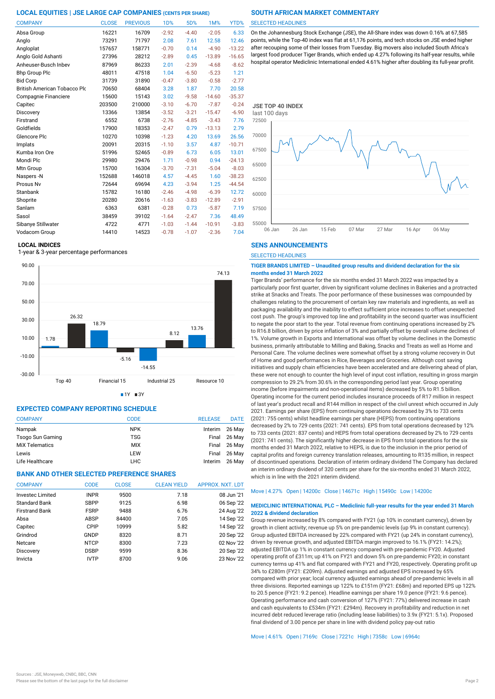| <b>COMPANY</b>                      | <b>CLOSE</b> | <b>PREVIOUS</b> | <b>1D%</b> | 5D%     | 1M%      | YTD%     |
|-------------------------------------|--------------|-----------------|------------|---------|----------|----------|
| Absa Group                          | 16221        | 16709           | $-2.92$    | $-4.40$ | $-2.05$  | 6.33     |
| Anglo                               | 73291        | 71797           | 2.08       | 7.61    | 12.58    | 12.46    |
| Angloplat                           | 157657       | 158771          | $-0.70$    | 0.14    | $-4.90$  | $-13.22$ |
| Anglo Gold Ashanti                  | 27396        | 28212           | $-2.89$    | 0.45    | $-13.89$ | $-16.65$ |
| Anheuser-Busch Inbev                | 87969        | 86233           | 2.01       | $-2.39$ | $-4.68$  | $-8.62$  |
| <b>Bhp Group Plc</b>                | 48011        | 47518           | 1.04       | $-6.50$ | $-5.23$  | 1.21     |
| <b>Bid Corp</b>                     | 31739        | 31890           | $-0.47$    | $-3.80$ | $-0.58$  | $-2.77$  |
| <b>British American Tobacco Plo</b> | 70650        | 68404           | 3.28       | 1.87    | 7.70     | 20.58    |
| Compagnie Financiere                | 15600        | 15143           | 3.02       | $-9.58$ | $-14.60$ | $-35.37$ |
| Capitec                             | 203500       | 210000          | $-3.10$    | $-6.70$ | $-7.87$  | $-0.24$  |
| Discovery                           | 13366        | 13854           | $-3.52$    | $-3.21$ | $-15.47$ | $-6.90$  |
| Firstrand                           | 6552         | 6738            | $-2.76$    | $-4.85$ | $-3.43$  | 7.76     |
| Goldfields                          | 17900        | 18353           | $-2.47$    | 0.79    | $-13.13$ | 2.79     |
| Glencore Plc                        | 10270        | 10398           | $-1.23$    | 4.20    | 13.69    | 26.56    |
| Implats                             | 20091        | 20315           | $-1.10$    | 3.57    | 4.87     | $-10.71$ |
| Kumba Iron Ore                      | 51996        | 52465           | $-0.89$    | 6.73    | 6.05     | 13.01    |
| Mondi Plc                           | 29980        | 29476           | 1.71       | $-0.98$ | 0.94     | $-24.13$ |
| Mtn Group                           | 15700        | 16304           | $-3.70$    | $-7.31$ | $-5.04$  | $-8.03$  |
| Naspers -N                          | 152688       | 146018          | 4.57       | $-4.45$ | 1.60     | $-38.23$ |
| Prosus Nv                           | 72644        | 69694           | 4.23       | $-3.94$ | 1.25     | $-44.54$ |
| Stanbank                            | 15782        | 16180           | $-2.46$    | $-4.98$ | $-6.39$  | 12.72    |
| Shoprite                            | 20280        | 20616           | $-1.63$    | $-3.83$ | $-12.89$ | $-2.91$  |
| Sanlam                              | 6363         | 6381            | $-0.28$    | 0.73    | $-5.87$  | 7.19     |
| Sasol                               | 38459        | 39102           | $-1.64$    | $-2.47$ | 7.36     | 48.49    |
| Sibanye Stillwater                  | 4722         | 4771            | $-1.03$    | $-1.44$ | $-10.91$ | $-3.83$  |
| Vodacom Group                       | 14410        | 14523           | $-0.78$    | $-1.07$ | $-2.36$  | 7.04     |

#### **LOCAL INDICES**

1-year & 3-year percentage performances



 $1Y = 3Y$ 

## **EXPECTED COMPANY REPORTING SCHEDULE**

| <b>COMPANY</b>          | CODE       | <b>RELEASE</b> | <b>DATE</b>  |
|-------------------------|------------|----------------|--------------|
| Nampak                  | <b>NPK</b> | Interim 26 May |              |
| <b>Tsogo Sun Gaming</b> | <b>TSG</b> |                | Final 26 May |
| <b>MiX Telematics</b>   | <b>MIX</b> |                | Final 26 May |
| Lewis                   | LEW        |                | Final 26 May |
| Life Healthcare         | LHC        | Interim        | 26 Mav       |

## **BANK AND OTHER SELECTED PREFERENCE SHARES**

| <b>COMPANY</b>          | <b>CODE</b> | <b>CLOSE</b> | <b>CLEAN YIELD</b> | APPROX. NXT. LDT |
|-------------------------|-------------|--------------|--------------------|------------------|
| <b>Investec Limited</b> | <b>INPR</b> | 9500         | 7.18               | 08 Jun '21       |
| <b>Standard Bank</b>    | <b>SBPP</b> | 9125         | 6.98               | 06 Sep '22       |
| <b>Firstrand Bank</b>   | <b>FSRP</b> | 9488         | 6.76               | 24 Aug '22       |
| Absa                    | ABSP        | 84400        | 7.05               | 14 Sep '22       |
| Capitec                 | CPIP        | 10999        | 5.82               | 14 Sep '22       |
| Grindrod                | GNDP        | 8320         | 8.71               | 20 Sep '22       |
| Netcare                 | <b>NTCP</b> | 8300         | 7.23               | 02 Nov '22       |
| Discovery               | <b>DSBP</b> | 9599         | 8.36               | 20 Sep '22       |
| Invicta                 | <b>IVTP</b> | 8700         | 9.06               | 23 Nov '22       |

#### SELECTED HEADLINES

On the Johannesburg Stock Exchange (JSE), the All-Share index was down 0.16% at 67,585 points, while the Top-40 index was flat at 61,176 points, and tech stocks on JSE ended higher after recouping some of their losses from Tuesday. Big movers also included South Africa's largest food producer Tiger Brands, which ended up 4.27% following its half-year results, while hospital operator Mediclinic International ended 4.61% higher after doubling its full-year profit.



### **SENS ANNOUNCEMENTS**

SELECTED HEADLINES

#### **TIGER BRANDS LIMITED – Unaudited group results and dividend declaration for the six months ended 31 March 2022**

Tiger Brands' performance for the six months ended 31 March 2022 was impacted by a particularly poor first quarter, driven by significant volume declines in Bakeries and a protracted strike at Snacks and Treats. The poor performance of these businesses was compounded by challenges relating to the procurement of certain key raw materials and ingredients, as well as packaging availability and the inability to effect sufficient price increases to offset unexpected cost push. The group's improved top line and profitability in the second quarter was insufficient to negate the poor start to the year. Total revenue from continuing operations increased by 2% to R16.8 billion, driven by price inflation of 3% and partially offset by overall volume declines of 1%. Volume growth in Exports and International was offset by volume declines in the Domestic business, primarily attributable to Milling and Baking, Snacks and Treats as well as Home and Personal Care. The volume declines were somewhat offset by a strong volume recovery in Out of Home and good performances in Rice, Beverages and Groceries. Although cost saving initiatives and supply chain efficiencies have been accelerated and are delivering ahead of plan, these were not enough to counter the high level of input cost inflation, resulting in gross margin compression to 29.2% from 30.6% in the corresponding period last year. Group operating income (before impairments and non-operational items) decreased by 5% to R1.5 billion. Operating income for the current period includes insurance proceeds of R17 million in respect of last year's product recall and R144 million in respect of the civil unrest which occurred in July 2021. Earnings per share (EPS) from continuing operations decreased by 3% to 733 cents (2021: 755 cents) whilst headline earnings per share (HEPS) from continuing operations decreased by 2% to 729 cents (2021: 741 cents). EPS from total operations decreased by 12% to 733 cents (2021: 837 cents) and HEPS from total operations decreased by 2% to 729 cents (2021: 741 cents). The significantly higher decrease in EPS from total operations for the six months ended 31 March 2022, relative to HEPS, is due to the inclusion in the prior period of capital profits and foreign currency translation releases, amounting to R135 million, in respect of discontinued operations. Declaration of interim ordinary dividend The Company has declared an interim ordinary dividend of 320 cents per share for the six-months ended 31 March 2022, which is in line with the 2021 interim dividend.

#### Move | 4.27% Open | 14200c Close | 14671c High | 15490c Low | 14200c

#### **MEDICLINIC INTERNATIONAL PLC – Mediclinic full-year results for the year ended 31 March 2022 & dividend declaration**

Group revenue increased by 8% compared with FY21 (up 10% in constant currency), driven by growth in client activity; revenue up 5% on pre-pandemic levels (up 9% in constant currency). Group adjusted EBITDA increased by 22% compared with FY21 (up 24% in constant currency), driven by revenue growth, and adjusted EBITDA margin improved to 16.1% (FY21: 14.2%); adjusted EBITDA up 1% in constant currency compared with pre-pandemic FY20. Adjusted operating profit of £311m; up 41% on FY21 and down 5% on pre-pandemic FY20; in constant currency terms up 41% and flat compared with FY21 and FY20, respectively. Operating profit up 34% to £280m (FY21: £209m). Adjusted earnings and adjusted EPS increased by 65% compared with prior year; local currency adjusted earnings ahead of pre-pandemic levels in all three divisions. Reported earnings up 122% to £151m (FY21: £68m) and reported EPS up 122% to 20.5 pence (FY21: 9.2 pence). Headline earnings per share 19.0 pence (FY21: 9.6 pence). Operating performance and cash conversion of 127% (FY21: 77%) delivered increase in cash and cash equivalents to £534m (FY21: £294m). Recovery in profitability and reduction in net incurred debt reduced leverage ratio (including lease liabilities) to 3.9x (FY21: 5.1x). Proposed final dividend of 3.00 pence per share in line with dividend policy pay-out ratio

Move | 4.61% Open | 7169c Close | 7221c High | 7358c Low | 6964c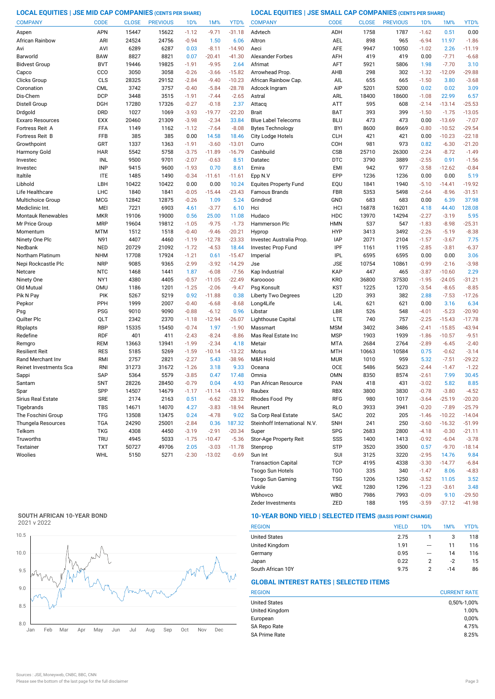**LOCAL EQUITIES | JSE MID CAP COMPANIES (CENTS PER SHARE) LOCAL EQUITIES | JSE SMALL CAP COMPANIES (CENTS PER SHARE)**

| <b>COMPANY</b>            | <b>CODE</b>       | <b>CLOSE</b> | <b>PREVIOUS</b> | 1 <sub>D</sub> %   | 1M%                 | YTD%             | <b>COMPANY</b>               | <b>CODE</b>             | <b>CLOSE</b> | <b>PREVIOUS</b> | 1D%                | 1M%                 | YTD%                 |
|---------------------------|-------------------|--------------|-----------------|--------------------|---------------------|------------------|------------------------------|-------------------------|--------------|-----------------|--------------------|---------------------|----------------------|
| Aspen                     | APN               | 15447        | 15622           | $-1.12$            | $-9.71$             | $-31.18$         | Advtech                      | ADH                     | 1758         | 1787            | $-1.62$            | 0.51                | 0.00                 |
| African Rainbow           | ARI               | 24524        | 24756           | $-0.94$            | 1.50                | 6.06             | Altron                       | AEL                     | 898          | 965             | $-6.94$            | 11.97               | $-1.86$              |
| Avi                       | AVI               | 6289         | 6287            | 0.03               | $-8.11$             | $-14.90$         | Aeci                         | <b>AFE</b>              | 9947         | 10050           | $-1.02$            | 2.26                | $-11.19$             |
| Barworld                  | <b>BAW</b>        | 8827         | 8821            | 0.07               | $-20.41$            | $-41.30$         | <b>Alexander Forbes</b>      | AFH                     | 419          | 419             | 0.00               | $-7.71$             | $-6.68$              |
| <b>Bidvest Group</b>      | <b>BVT</b>        | 19446        | 19825           | $-1.91$            | $-9.95$             | 2.64             | Afrimat                      | AFT                     | 5921         | 5806            | 1.98               | $-7.70$             | 3.10                 |
| Capco                     | CCO               | 3050         | 3058            | $-0.26$            | $-3.66$             | $-15.82$         | Arrowhead Prop               | AHB                     | 298          | 302             | $-1.32$            | $-12.09$            | $-29.88$             |
| Clicks Group              | CLS               | 28325        | 29152           | $-2.84$            | $-9.40$             | $-10.23$         | African Rainbow Cap.         | AIL                     | 655          | 665             | $-1.50$            | 3.80                | $-3.68$              |
| Coronation                | <b>CML</b>        | 3742         | 3757            | $-0.40$            | $-5.84$             | $-28.78$         | Adcock Ingram                | AIP                     | 5201         | 5200            | 0.02               | 0.02                | 3.09                 |
| Dis-Chem                  | <b>DCP</b>        | 3448         | 3515            | $-1.91$            | $-7.44$             | $-2.65$          | Astral                       | ARL                     | 18400        | 18600           | $-1.08$            | 22.99               | 6.57                 |
| Distell Group             | DGH               | 17280        | 17326           | $-0.27$            | $-0.18$             | 2.37             | Attacq                       | <b>ATT</b>              | 595          | 608             | $-2.14$            | $-13.14$            | $-25.53$             |
| Drdgold                   | <b>DRD</b>        | 1027         | 1069            | $-3.93$            | $-19.77$            | $-22.20$         | <b>Brait</b>                 | <b>BAT</b>              | 393          | 399             | $-1.50$            | $-1.75$             | $-13.05$             |
| Exxaro Resources          | <b>EXX</b>        | 20460        | 21309           | $-3.98$            | $-2.34$             | 33.84            | <b>Blue Label Telecoms</b>   | <b>BLU</b>              | 473          | 473             | 0.00               | $-13.69$            | $-7.07$              |
| Fortress Reit A           | FFA               | 1149         | 1162            | $-1.12$            | $-7.64$             | $-8.08$          | <b>Bytes Technology</b>      | <b>BYI</b>              | 8600         | 8669            | $-0.80$            | $-10.52$            | $-29.54$             |
| Fortress Reit B           | <b>FFB</b>        | 385          | 385             | 0.00               | 14.58               | 18.46            | City Lodge Hotels            | <b>CLH</b>              | 421          | 421             | 0.00               | $-10.23$            | $-22.18$             |
| Growthpoint               | GRT               | 1337         | 1363            | $-1.91$            | $-3.60$             | $-13.01$         | Curro                        | COH                     | 981          | 973             | 0.82               | $-6.30$             | $-21.20$             |
| Harmony Gold              | <b>HAR</b>        | 5542         | 5758            | $-3.75$            | $-11.89$            | $-16.79$         | Cashbuild                    | <b>CSB</b>              | 25710        | 26300           | $-2.24$            | $-8.72$             | $-1.49$              |
| Investec                  | INL               | 9500         | 9701            | $-2.07$            | $-0.63$             | 8.51             | Datatec                      | <b>DTC</b>              | 3790         | 3889            | $-2.55$            | 0.91                | $-1.56$              |
| Investec                  | <b>INP</b>        | 9415         | 9600            | $-1.93$            | 0.70                | 8.61             | Emira                        | <b>EMI</b>              | 942          | 977             | $-3.58$            | $-12.62$            | $-0.84$              |
| Italtile                  | <b>ITE</b>        | 1485         | 1490            | $-0.34$            | $-11.61$            | $-11.61$         | Epp N.V                      | EPP                     | 1236         | 1236            | 0.00               | 0.00                | 5.19                 |
| Libhold                   | LBH               | 10422        | 10422           | 0.00               | 0.00                | 10.24            | <b>Equites Property Fund</b> | EQU                     | 1841         | 1940            | $-5.10$            | $-14.41$            | $-19.92$             |
| Life Healthcare           | <b>LHC</b>        | 1840         | 1841            | $-0.05$            | $-15.44$            | $-23.43$         | Famous Brands                | <b>FBR</b>              | 5353         | 5498            | $-2.64$            | $-8.96$             | $-31.51$             |
| Multichoice Group         | <b>MCG</b>        | 12842        | 12875           | $-0.26$            | 1.09                | 5.24             | Grindrod                     | GND                     | 683          | 683             | 0.00               | 6.39                | 37.98                |
| Mediclinic Int.           | MEI               | 7221         | 6903            | 4.61               | $-3.77$             | 6.10             | Hci                          | HCI                     | 16878        | 16201           | 4.18               | 44.40               | 128.08               |
| <b>Montauk Renewables</b> | <b>MKR</b>        | 19106        | 19000           | 0.56               | 25.00               | 11.08            | Hudaco                       | HDC                     | 13970        | 14294           | $-2.27$            | $-3.19$             | 5.95                 |
| Mr Price Group            | <b>MRP</b>        | 19604        | 19812           | $-1.05$            | $-9.75$             | $-1.73$          | Hammerson Plc                | <b>HMN</b>              | 537          | 547             | $-1.83$            | $-8.98$             | $-25.31$             |
| Momentum                  | MTM               | 1512         | 1518            | $-0.40$            | $-9.46$             | $-20.21$         | Hyprop                       | <b>HYP</b>              | 3413         | 3492            | $-2.26$            | $-5.19$             | $-8.38$              |
| Ninety One Plc            | N91               | 4407         | 4460            | $-1.19$            | $-12.78$            | $-23.33$         | Investec Australia Prop.     | IAP                     | 2071         | 2104            | $-1.57$            | $-3.67$             | 7.75                 |
| Nedbank                   | <b>NED</b>        | 20729        | 21092           | $-1.72$            | $-4.53$             | 18.44            | Investec Prop Fund           | IPF                     | 1161         | 1195            | $-2.85$            | $-3.81$             | $-6.37$              |
| Northam Platinum          | <b>NHM</b>        | 17708        | 17924           | $-1.21$            | 0.61                | $-15.47$         | Imperial                     | <b>IPL</b>              | 6595         | 6595            | 0.00               | 0.00                | 3.06                 |
| Nepi Rockcastle Plc       | <b>NRP</b>        | 9085         | 9365            | $-2.99$            | $-3.92$             | $-14.29$         | Jse                          | <b>JSE</b>              | 10754        | 10861           | $-0.99$            | $-2.16$             | $-3.98$              |
| Netcare                   | <b>NTC</b>        | 1468         | 1441            | 1.87               | $-6.08$             | $-7.56$          | Kap Industrial               | KAP                     | 447          | 465             | $-3.87$            | $-10.60$            | 2.29                 |
| Ninety One                | NY1               | 4380         | 4405            | $-0.57$            | $-11.05$            | $-22.49$         | Karooooo                     | <b>KRO</b>              | 36800        | 37530           | $-1.95$            | $-24.05$            | $-31.21$             |
| Old Mutual                | <b>OMU</b>        | 1186         | 1201            | $-1.25$            | $-2.06$             | $-9.47$          | Psg Konsult                  | <b>KST</b>              | 1225         | 1270            | $-3.54$            | $-8.65$             | $-8.85$              |
| Pik N Pay                 | PIK               | 5267         | 5219            | 0.92               | $-11.88$            | 0.38             | <b>Liberty Two Degrees</b>   | L <sub>2</sub> D        | 393          | 382             | 2.88               | $-7.53$             | $-17.26$             |
| Pepkor                    | PPH               | 1999         | 2007<br>9090    | $-0.40$            | $-6.68$             | $-8.68$          | Long4Life<br>Libstar         | L <sub>4</sub> L<br>LBR | 621          | 621             | 0.00               | 3.16                | 6.34                 |
| Psg<br>Quilter Plc        | <b>PSG</b><br>QLT | 9010<br>2342 | 2370            | $-0.88$<br>$-1.18$ | $-6.12$<br>$-12.94$ | 0.96<br>$-26.07$ | Lighthouse Capital           | LTE                     | 526<br>740   | 548<br>757      | $-4.01$<br>$-2.25$ | $-5.23$<br>$-15.43$ | $-20.90$<br>$-17.78$ |
|                           | <b>RBP</b>        | 15335        | 15450           | $-0.74$            | 1.97                | $-1.90$          | Massmart                     | <b>MSM</b>              | 3402         | 3486            | $-2.41$            | $-15.85$            | $-43.94$             |
| Rbplapts<br>Redefine      | <b>RDF</b>        | 401          | 411             | $-2.43$            | $-8.24$             | $-8.86$          | Mas Real Estate Inc          | <b>MSP</b>              | 1903         | 1939            | $-1.86$            | $-10.57$            | $-9.51$              |
| Remgro                    | <b>REM</b>        | 13663        | 13941           | $-1.99$            | $-2.34$             | 4.18             | Metair                       | <b>MTA</b>              | 2684         | 2764            | $-2.89$            | $-6.45$             | $-2.40$              |
| Resilient Reit            | <b>RES</b>        | 5185         | 5269            | $-1.59$            | $-10.14$            | $-13.22$         | Motus                        | <b>MTH</b>              | 10663        | 10584           | 0.75               | $-0.62$             | $-3.14$              |
| Rand Merchant Inv         | RMI               | 2757         | 2821            | $-2.27$            | 5.43                | $-38.96$         | M&R Hold                     | <b>MUR</b>              | 1010         | 959             | 5.32               | $-7.51$             | $-29.22$             |
| Reinet Investments Sca    | <b>RNI</b>        | 31273        | 31672           | $-1.26$            | 3.18                | 9.33             | Oceana                       | <b>OCE</b>              | 5486         | 5623            | $-2.44$            | $-1.47$             | $-1.22$              |
| Sappi                     | <b>SAP</b>        | 5364         | 5579            | $-3.85$            | 0.47                | 17.48            | Omnia                        | <b>OMN</b>              | 8350         | 8574            | $-2.61$            | 7.99                | 30.45                |
| Santam                    | <b>SNT</b>        | 28226        | 28450           | $-0.79$            | 0.04                | 4.93             | Pan African Resource         | PAN                     | 418          | 431             | $-3.02$            | 5.82                | 8.85                 |
| Spar                      | SPP               | 14507        | 14679           | $-1.17$            | $-11.14$            | $-13.19$         | Raubex                       | <b>RBX</b>              | 3800         | 3830            | $-0.78$            | $-3.80$             | $-4.52$              |
| Sirius Real Estate        | <b>SRE</b>        | 2174         | 2163            | 0.51               | $-6.62$             | $-28.32$         | Rhodes Food Pty              | <b>RFG</b>              | 980          | 1017            | $-3.64$            | $-25.19$            | $-20.20$             |
| Tigebrands                | <b>TBS</b>        | 14671        | 14070           | 4.27               | $-3.83$             | $-18.94$         | Reunert                      | <b>RLO</b>              | 3933         | 3941            | $-0.20$            | $-7.89$             | $-25.79$             |
| The Foschini Group        | <b>TFG</b>        | 13508        | 13475           | 0.24               | $-4.78$             | 9.02             | Sa Corp Real Estate          | <b>SAC</b>              | 202          | 205             | $-1.46$            | $-10.22$            | $-14.04$             |
| Thungela Resources        | <b>TGA</b>        | 24290        | 25001           | $-2.84$            | 0.36                | 187.32           | Steinhoff International N.V. | <b>SNH</b>              | 241          | 250             | $-3.60$            | $-16.32$            | $-51.99$             |
| Telkom                    | <b>TKG</b>        | 4308         | 4450            | $-3.19$            | $-2.91$             | $-20.34$         | Super                        | <b>SPG</b>              | 2683         | 2800            | $-4.18$            | $-0.30$             | $-21.11$             |
| Truworths                 | <b>TRU</b>        | 4945         | 5033            | $-1.75$            | $-10.47$            | $-5.36$          | Stor-Age Property Reit       | SSS                     | 1400         | 1413            | $-0.92$            | $-6.04$             | $-3.78$              |
| Textainer                 | <b>TXT</b>        | 50727        | 49706           | 2.05               | $-3.03$             | $-11.78$         | Stenprop                     | STP                     | 3520         | 3500            | 0.57               | $-9.70$             | $-18.14$             |
| Woolies                   | WHL               | 5150         | 5271            | $-2.30$            | $-13.02$            | $-0.69$          | Sun Int                      | SUI                     | 3125         | 3220            | $-2.95$            | 14.76               | 9.84                 |
|                           |                   |              |                 |                    |                     |                  | <b>Transaction Capital</b>   | <b>TCP</b>              | 4195         | 4338            | $-3.30$            | $-14.77$            | $-6.84$              |
|                           |                   |              |                 |                    |                     |                  | Tsogo Sun Hotels             | TGO                     | 335          | 340             | $-1.47$            | 8.06                | $-4.83$              |

## **SOUTH AFRICAN 10-YEAR BOND**



## **10-YEAR BOND YIELD | SELECTED ITEMS (BASIS POINT CHANGE)**

| <b>REGION</b>        | <b>YIELD</b> | 1D% | 1M%   | YTD% |
|----------------------|--------------|-----|-------|------|
| <b>United States</b> | 2.75         |     | 3     | 118  |
| United Kingdom       | 1.91         | --- | 11    | 116  |
| Germany              | 0.95         | --- | 14    | 116  |
| Japan                | 0.22         |     | -2    | 15   |
| South African 10Y    | 9.75         |     | $-14$ | 86   |

Zeder Investments 2ED 188 195 -3.59 -37.12 -41.98

Wbhovco WBO 7986 7993 -0.09 9.10 -29.50 Vukile VKE 1280 1296 -1.23 -3.61

Tsogo Sun Gaming TSG 1206 1250 -3.52 11.05 3.52

## **GLOBAL INTEREST RATES | SELECTED ITEMS**

| <b>REGION</b>        | <b>CURRENT RATE</b> |
|----------------------|---------------------|
| <b>United States</b> | 0,50%-1,00%         |
| United Kingdom       | 1.00%               |
| European             | 0.00%               |
| SA Repo Rate         | 4.75%               |
| <b>SA Prime Rate</b> | 8.25%               |
|                      |                     |

 $3.48$ <br> $-29.50$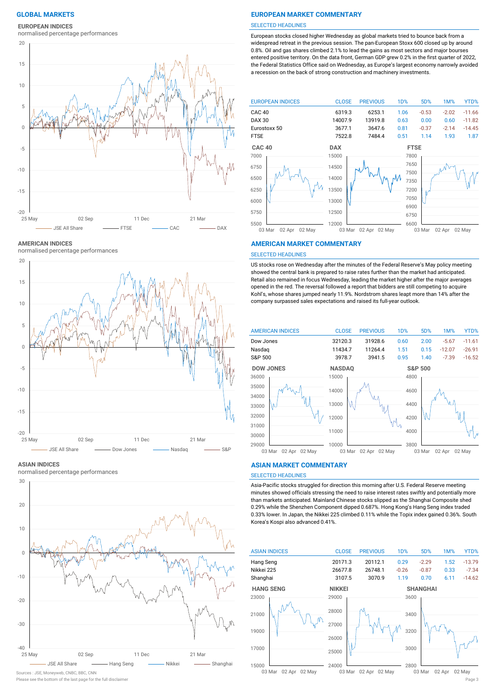## **EUROPEAN INDICES**

normalised percentage performances



#### **AMERICAN INDICES**

normalised percentage performances



#### **ASIAN INDICES**

normalised percentage performances



## Sources : JSE, Moneyweb, CNBC, BBC, CNN

Please see the bottom of the last page for the full disclaimer Page 3

## **GLOBAL MARKETS EUROPEAN MARKET COMMENTARY**

#### SELECTED HEADLINES

European stocks closed higher Wednesday as global markets tried to bounce back from a widespread retreat in the previous session. The pan-European Stoxx 600 closed up by around 0.8%. Oil and gas shares climbed 2.1% to lead the gains as most sectors and major bourses entered positive territory. On the data front, German GDP grew 0.2% in the first quarter of 2022, the Federal Statistics Office said on Wednesday, as Europe's largest economy narrowly avoided a recession on the back of strong construction and machinery investments.



#### **AMERICAN MARKET COMMENTARY**

#### SELECTED HEADLINES

US stocks rose on Wednesday after the minutes of the Federal Reserve's May policy meeting showed the central bank is prepared to raise rates further than the market had anticipated. Retail also remained in focus Wednesday, leading the market higher after the major averages opened in the red. The reversal followed a report that bidders are still competing to acquire Kohl's, whose shares jumped nearly 11.9%. Nordstrom shares leapt more than 14% after the company surpassed sales expectations and raised its full-year outlook.



#### **ASIAN MARKET COMMENTARY**

### SELECTED HEADLINES

Asia-Pacific stocks struggled for direction this morning after U.S. Federal Reserve meeting minutes showed officials stressing the need to raise interest rates swiftly and potentially more than markets anticipated. Mainland Chinese stocks slipped as the Shanghai Composite shed 0.29% while the Shenzhen Component dipped 0.687%. Hong Kong's Hang Seng index traded 0.33% lower. In Japan, the Nikkei 225 climbed 0.11% while the Topix index gained 0.36%. South Korea's Kospi also advanced 0.41%.